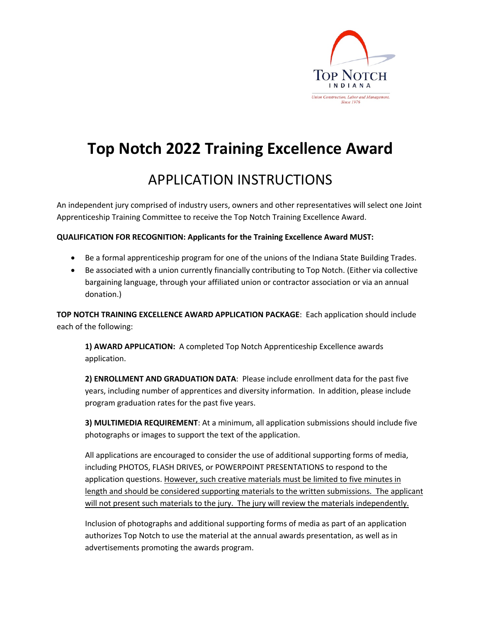

## **Top Notch 2022 Training Excellence Award**

## APPLICATION INSTRUCTIONS

An independent jury comprised of industry users, owners and other representatives will select one Joint Apprenticeship Training Committee to receive the Top Notch Training Excellence Award.

### **QUALIFICATION FOR RECOGNITION: Applicants for the Training Excellence Award MUST:**

- Be a formal apprenticeship program for one of the unions of the Indiana State Building Trades.
- Be associated with a union currently financially contributing to Top Notch. (Either via collective bargaining language, through your affiliated union or contractor association or via an annual donation.)

**TOP NOTCH TRAINING EXCELLENCE AWARD APPLICATION PACKAGE**: Each application should include each of the following:

**1) AWARD APPLICATION:** A completed Top Notch Apprenticeship Excellence awards application.

**2) ENROLLMENT AND GRADUATION DATA**: Please include enrollment data for the past five years, including number of apprentices and diversity information. In addition, please include program graduation rates for the past five years.

**3) MULTIMEDIA REQUIREMENT**: At a minimum, all application submissions should include five photographs or images to support the text of the application.

All applications are encouraged to consider the use of additional supporting forms of media, including PHOTOS, FLASH DRIVES, or POWERPOINT PRESENTATIONS to respond to the application questions. However, such creative materials must be limited to five minutes in length and should be considered supporting materials to the written submissions. The applicant will not present such materials to the jury. The jury will review the materials independently.

Inclusion of photographs and additional supporting forms of media as part of an application authorizes Top Notch to use the material at the annual awards presentation, as well as in advertisements promoting the awards program.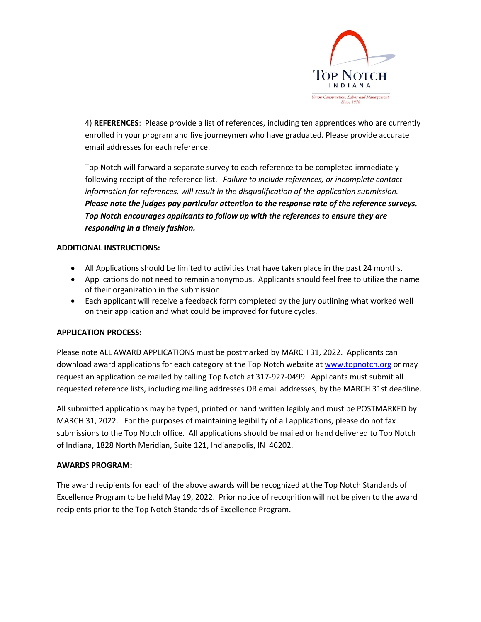

4) **REFERENCES**: Please provide a list of references, including ten apprentices who are currently enrolled in your program and five journeymen who have graduated. Please provide accurate email addresses for each reference.

Top Notch will forward a separate survey to each reference to be completed immediately following receipt of the reference list. *Failure to include references, or incomplete contact information for references, will result in the disqualification of the application submission. Please note the judges pay particular attention to the response rate of the reference surveys. Top Notch encourages applicants to follow up with the references to ensure they are responding in a timely fashion.*

### **ADDITIONAL INSTRUCTIONS:**

- All Applications should be limited to activities that have taken place in the past 24 months.
- Applications do not need to remain anonymous. Applicants should feel free to utilize the name of their organization in the submission.
- Each applicant will receive a feedback form completed by the jury outlining what worked well on their application and what could be improved for future cycles.

### **APPLICATION PROCESS:**

Please note ALL AWARD APPLICATIONS must be postmarked by MARCH 31, 2022. Applicants can download award applications for each category at the Top Notch website at www.topnotch.org or may request an application be mailed by calling Top Notch at 317-927-0499. Applicants must submit all requested reference lists, including mailing addresses OR email addresses, by the MARCH 31st deadline.

All submitted applications may be typed, printed or hand written legibly and must be POSTMARKED by MARCH 31, 2022. For the purposes of maintaining legibility of all applications, please do not fax submissions to the Top Notch office. All applications should be mailed or hand delivered to Top Notch of Indiana, 1828 North Meridian, Suite 121, Indianapolis, IN 46202.

### **AWARDS PROGRAM:**

The award recipients for each of the above awards will be recognized at the Top Notch Standards of Excellence Program to be held May 19, 2022. Prior notice of recognition will not be given to the award recipients prior to the Top Notch Standards of Excellence Program.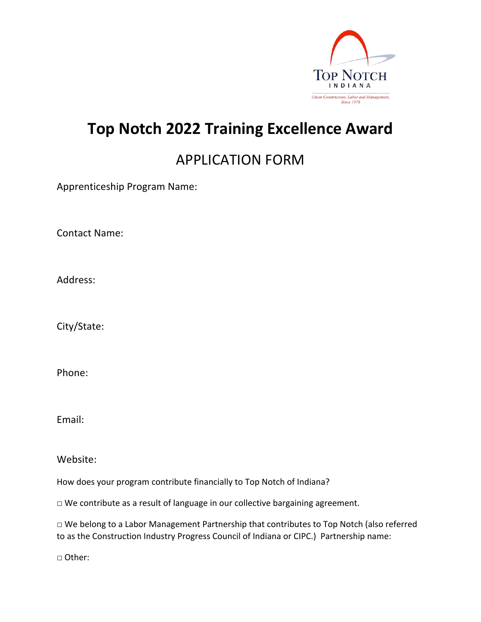

## **Top Notch 2022 Training Excellence Award**

## APPLICATION FORM

Apprenticeship Program Name:

Contact Name:

Address:

City/State:

Phone:

Email:

Website:

How does your program contribute financially to Top Notch of Indiana?

□ We contribute as a result of language in our collective bargaining agreement.

□ We belong to a Labor Management Partnership that contributes to Top Notch (also referred to as the Construction Industry Progress Council of Indiana or CIPC.) Partnership name:

□ Other: